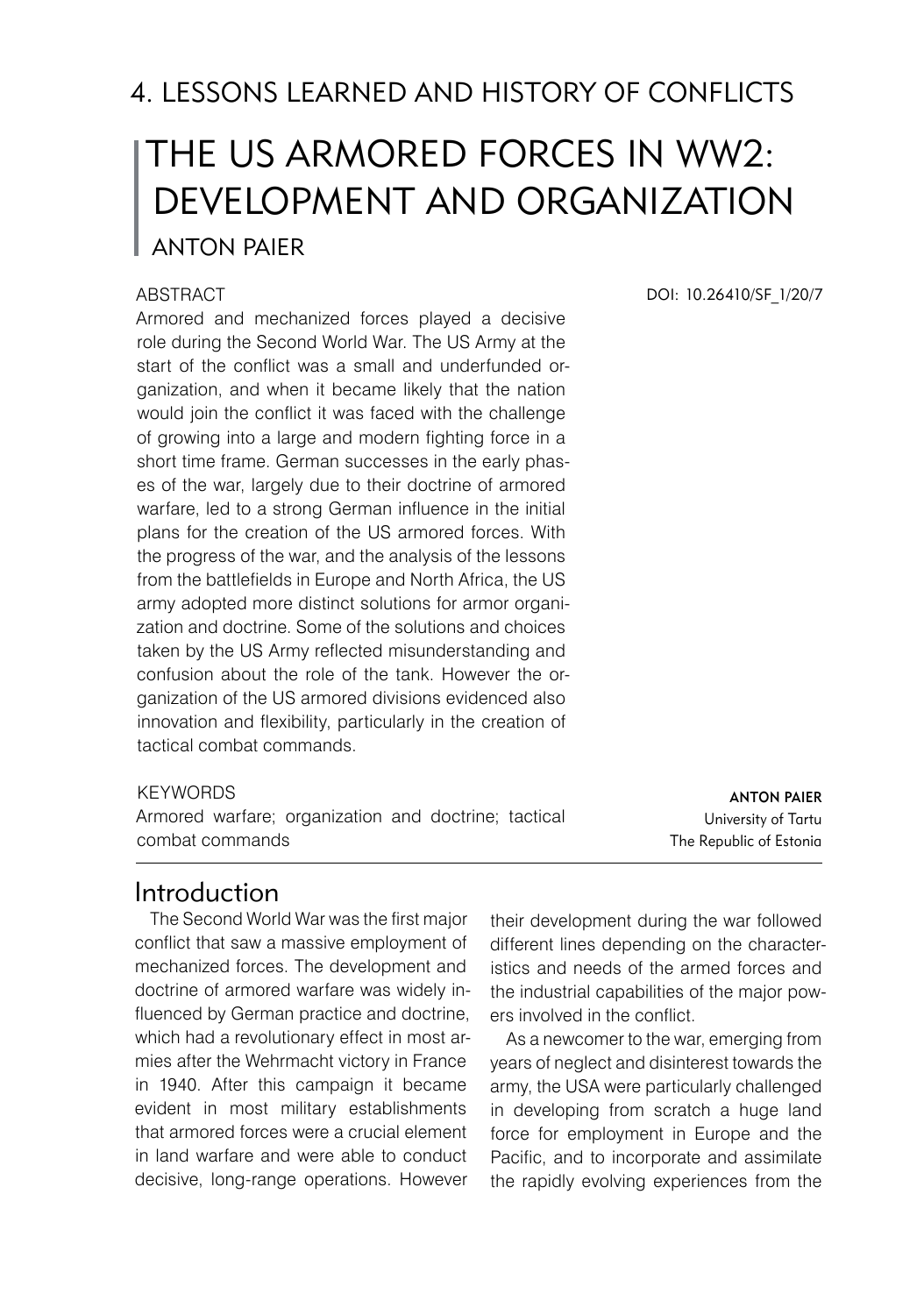# 4. LESSONS LEARNED AND HISTORY OF CONFLICTS

# The US Armored Forces in WW2: Development and Organization Anton Paier

#### **ABSTRACT**

Armored and mechanized forces played a decisive role during the Second World War. The US Army at the start of the conflict was a small and underfunded organization, and when it became likely that the nation would join the conflict it was faced with the challenge of growing into a large and modern fighting force in a short time frame. German successes in the early phases of the war, largely due to their doctrine of armored warfare, led to a strong German influence in the initial plans for the creation of the US armored forces. With the progress of the war, and the analysis of the lessons from the battlefields in Europe and North Africa, the US army adopted more distinct solutions for armor organization and doctrine. Some of the solutions and choices taken by the US Army reflected misunderstanding and confusion about the role of the tank. However the organization of the US armored divisions evidenced also innovation and flexibility, particularly in the creation of tactical combat commands.

#### **KEYWORDS**

Armored warfare; organization and doctrine; tactical combat commands

Anton Paier University of Tartu The Republic of Estonia

### Introduction

The Second World War was the first major conflict that saw a massive employment of mechanized forces. The development and doctrine of armored warfare was widely influenced by German practice and doctrine, which had a revolutionary effect in most armies after the Wehrmacht victory in France in 1940. After this campaign it became evident in most military establishments that armored forces were a crucial element in land warfare and were able to conduct decisive, long-range operations. However

their development during the war followed different lines depending on the characteristics and needs of the armed forces and the industrial capabilities of the major powers involved in the conflict.

As a newcomer to the war, emerging from years of neglect and disinterest towards the army, the USA were particularly challenged in developing from scratch a huge land force for employment in Europe and the Pacific, and to incorporate and assimilate the rapidly evolving experiences from the

DOI: 10.26410/SF\_1/20/7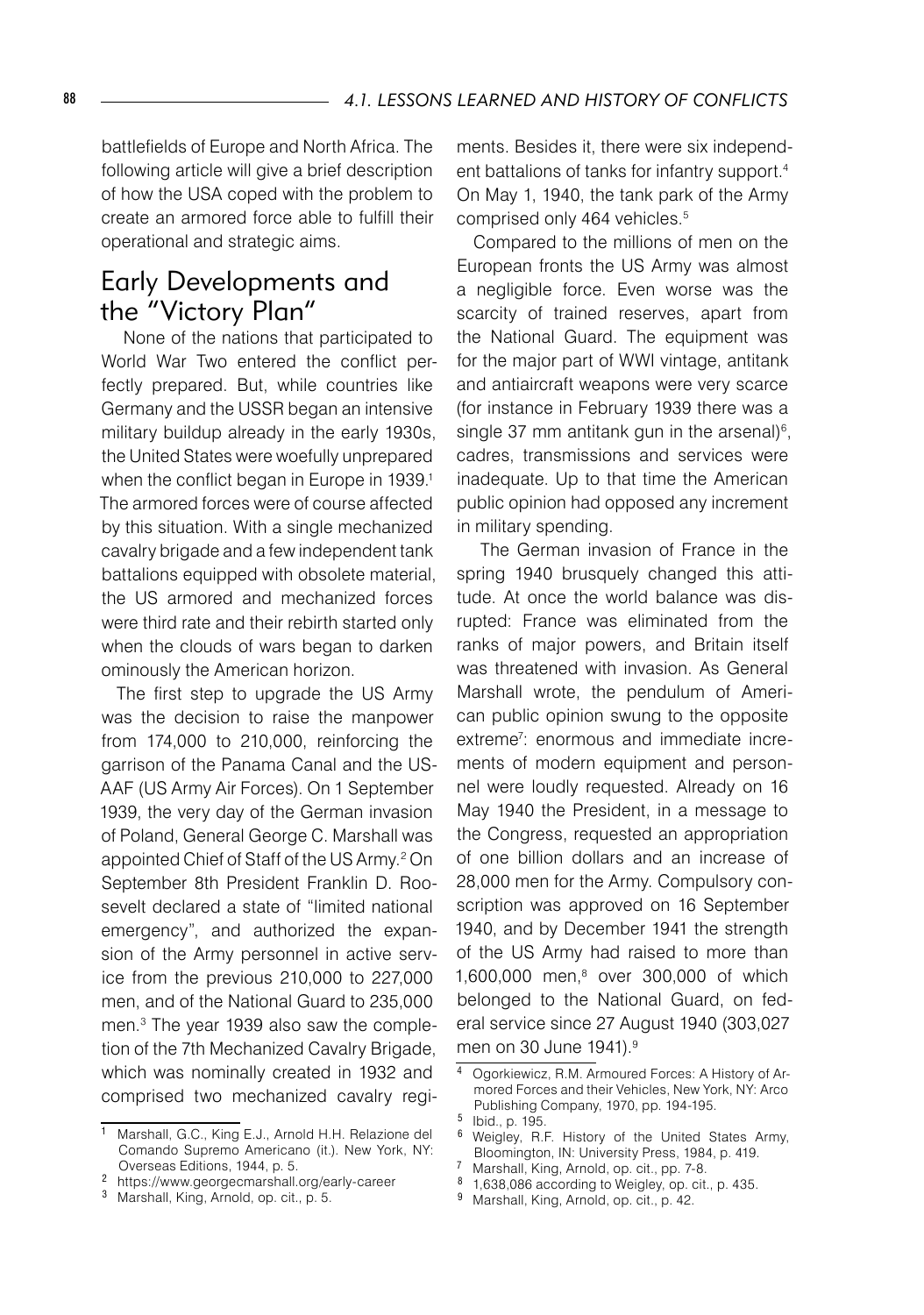battlefields of Europe and North Africa. The following article will give a brief description of how the USA coped with the problem to create an armored force able to fulfill their operational and strategic aims.

## Early Developments and the "Victory Plan"

 None of the nations that participated to World War Two entered the conflict perfectly prepared. But, while countries like Germany and the USSR began an intensive military buildup already in the early 1930s, the United States were woefully unprepared when the conflict began in Europe in 1939.<sup>1</sup> The armored forces were of course affected by this situation. With a single mechanized cavalry brigade and a few independent tank battalions equipped with obsolete material, the US armored and mechanized forces were third rate and their rebirth started only when the clouds of wars began to darken ominously the American horizon.

The first step to upgrade the US Army was the decision to raise the manpower from 174,000 to 210,000, reinforcing the garrison of the Panama Canal and the US-AAF (US Army Air Forces). On 1 September 1939, the very day of the German invasion of Poland, General George C. Marshall was appointed Chief of Staff of the US Army.2 On September 8th President Franklin D. Roosevelt declared a state of "limited national emergency", and authorized the expansion of the Army personnel in active service from the previous 210,000 to 227,000 men, and of the National Guard to 235,000 men.3 The year 1939 also saw the completion of the 7th Mechanized Cavalry Brigade, which was nominally created in 1932 and comprised two mechanized cavalry regiments. Besides it, there were six independent battalions of tanks for infantry support.4 On May 1, 1940, the tank park of the Army comprised only 464 vehicles.<sup>5</sup>

Compared to the millions of men on the European fronts the US Army was almost a negligible force. Even worse was the scarcity of trained reserves, apart from the National Guard. The equipment was for the major part of WWI vintage, antitank and antiaircraft weapons were very scarce (for instance in February 1939 there was a single 37 mm antitank gun in the arsenal) $\epsilon$ , cadres, transmissions and services were inadequate. Up to that time the American public opinion had opposed any increment in military spending.

 The German invasion of France in the spring 1940 brusquely changed this attitude. At once the world balance was disrupted: France was eliminated from the ranks of major powers, and Britain itself was threatened with invasion. As General Marshall wrote, the pendulum of American public opinion swung to the opposite extreme7 : enormous and immediate increments of modern equipment and personnel were loudly requested. Already on 16 May 1940 the President, in a message to the Congress, requested an appropriation of one billion dollars and an increase of 28,000 men for the Army. Compulsory conscription was approved on 16 September 1940, and by December 1941 the strength of the US Army had raised to more than 1,600,000 men,8 over 300,000 of which belonged to the National Guard, on federal service since 27 August 1940 (303,027 men on 30 June 1941).<sup>9</sup>

<sup>7</sup> Marshall, King, Arnold, op. cit., pp. 7-8.

9 Marshall, King, Arnold, op. cit., p. 42.

<sup>1</sup> Marshall, G.C., King E.J., Arnold H.H. Relazione del Comando Supremo Americano (it.). New York, NY: Overseas Editions, 1944, p. 5.

https://www.georgecmarshall.org/early-career

<sup>&</sup>lt;sup>3</sup> Marshall, King, Arnold, op. cit., p. 5.

Ogorkiewicz, R.M. Armoured Forces: A History of Armored Forces and their Vehicles, New York, NY: Arco Publishing Company, 1970, pp. 194-195.

<sup>&</sup>lt;sup>5</sup> Ibid., p. 195.

Weigley, R.F. History of the United States Army, Bloomington, IN: University Press, 1984, p. 419.

<sup>&</sup>lt;sup>8</sup> 1,638,086 according to Weigley, op. cit., p. 435.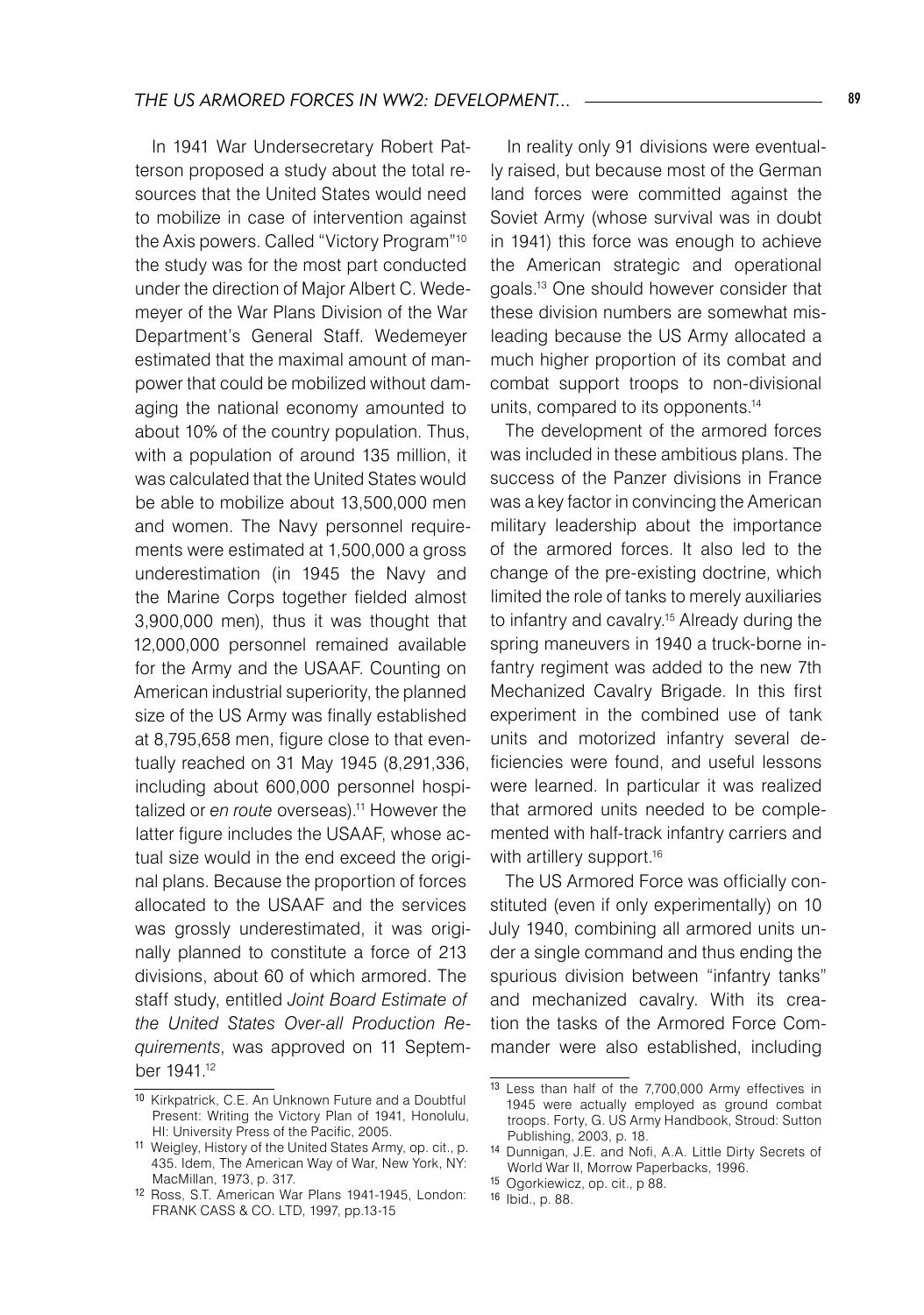In 1941 War Undersecretary Robert Patterson proposed a study about the total resources that the United States would need to mobilize in case of intervention against the Axis powers. Called "Victory Program"10 the study was for the most part conducted under the direction of Major Albert C. Wedemeyer of the War Plans Division of the War Department's General Staff. Wedemeyer estimated that the maximal amount of manpower that could be mobilized without damaging the national economy amounted to about 10% of the country population. Thus, with a population of around 135 million, it was calculated that the United States would be able to mobilize about 13,500,000 men and women. The Navy personnel requirements were estimated at 1,500,000 a gross underestimation (in 1945 the Navy and the Marine Corps together fielded almost 3,900,000 men), thus it was thought that 12,000,000 personnel remained available for the Army and the USAAF. Counting on American industrial superiority, the planned size of the US Army was finally established at 8,795,658 men, figure close to that eventually reached on 31 May 1945 (8,291,336, including about 600,000 personnel hospitalized or *en route* overseas).<sup>11</sup> However the latter figure includes the USAAF, whose actual size would in the end exceed the original plans. Because the proportion of forces allocated to the USAAF and the services was grossly underestimated, it was originally planned to constitute a force of 213 divisions, about 60 of which armored. The staff study, entitled *Joint Board Estimate of the United States Over-all Production Requirements*, was approved on 11 September 1941.12

In reality only 91 divisions were eventually raised, but because most of the German land forces were committed against the Soviet Army (whose survival was in doubt in 1941) this force was enough to achieve the American strategic and operational goals.13 One should however consider that these division numbers are somewhat misleading because the US Army allocated a much higher proportion of its combat and combat support troops to non-divisional units, compared to its opponents.14

The development of the armored forces was included in these ambitious plans. The success of the Panzer divisions in France was a key factor in convincing the American military leadership about the importance of the armored forces. It also led to the change of the pre-existing doctrine, which limited the role of tanks to merely auxiliaries to infantry and cavalry.15 Already during the spring maneuvers in 1940 a truck-borne infantry regiment was added to the new 7th Mechanized Cavalry Brigade. In this first experiment in the combined use of tank units and motorized infantry several deficiencies were found, and useful lessons were learned. In particular it was realized that armored units needed to be complemented with half-track infantry carriers and with artillery support.<sup>16</sup>

The US Armored Force was officially constituted (even if only experimentally) on 10 July 1940, combining all armored units under a single command and thus ending the spurious division between "infantry tanks" and mechanized cavalry. With its creation the tasks of the Armored Force Commander were also established, including

<sup>10</sup> Kirkpatrick, C.E. An Unknown Future and a Doubtful Present: Writing the Victory Plan of 1941, Honolulu, HI: University Press of the Pacific, 2005.

<sup>11</sup> Weigley, History of the United States Army, op. cit., p. 435. Idem, The American Way of War, New York, NY: MacMillan, 1973, p. 317.

<sup>12</sup> Ross, S.T. American War Plans 1941-1945, London: FRANK CASS & CO. LTD, 1997, pp.13-15

<sup>13</sup> Less than half of the 7,700,000 Army effectives in 1945 were actually employed as ground combat troops. Forty, G. US Army Handbook, Stroud: Sutton Publishing, 2003, p. 18.

<sup>14</sup> Dunnigan, J.E. and Nofi, A.A. Little Dirty Secrets of World War II, Morrow Paperbacks, 1996.

<sup>15</sup> Ogorkiewicz, op. cit., p 88.

<sup>16</sup> Ibid., p. 88.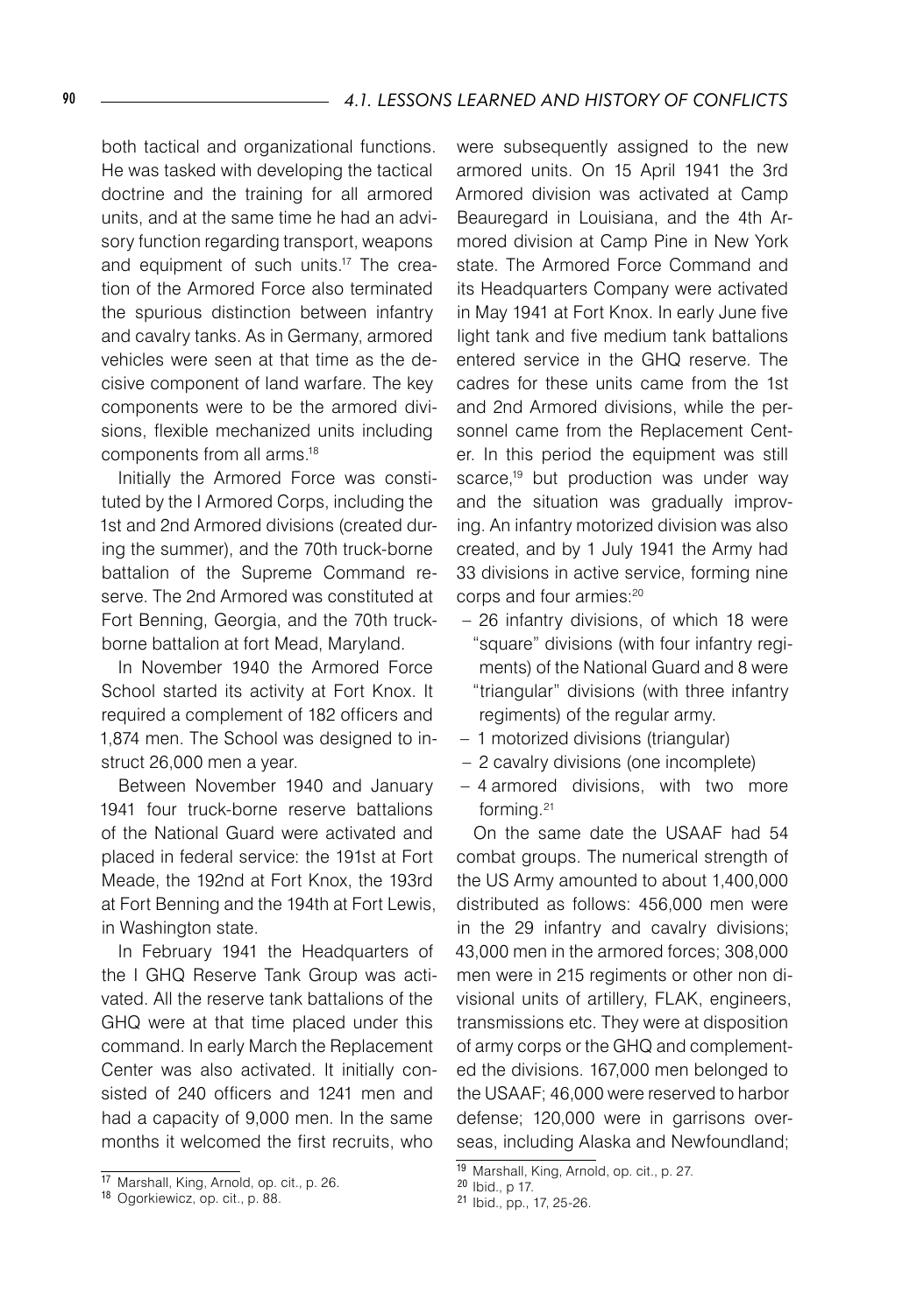both tactical and organizational functions. He was tasked with developing the tactical doctrine and the training for all armored units, and at the same time he had an advisory function regarding transport, weapons and equipment of such units.<sup>17</sup> The creation of the Armored Force also terminated the spurious distinction between infantry and cavalry tanks. As in Germany, armored vehicles were seen at that time as the decisive component of land warfare. The key components were to be the armored divisions, flexible mechanized units including components from all arms.18

Initially the Armored Force was constituted by the I Armored Corps, including the 1st and 2nd Armored divisions (created during the summer), and the 70th truck-borne battalion of the Supreme Command reserve. The 2nd Armored was constituted at Fort Benning, Georgia, and the 70th truckborne battalion at fort Mead, Maryland.

In November 1940 the Armored Force School started its activity at Fort Knox. It required a complement of 182 officers and 1,874 men. The School was designed to instruct 26,000 men a year.

Between November 1940 and January 1941 four truck-borne reserve battalions of the National Guard were activated and placed in federal service: the 191st at Fort Meade, the 192nd at Fort Knox, the 193rd at Fort Benning and the 194th at Fort Lewis, in Washington state.

In February 1941 the Headquarters of the I GHQ Reserve Tank Group was activated. All the reserve tank battalions of the GHQ were at that time placed under this command. In early March the Replacement Center was also activated. It initially consisted of 240 officers and 1241 men and had a capacity of 9,000 men. In the same months it welcomed the first recruits, who

were subsequently assigned to the new armored units. On 15 April 1941 the 3rd Armored division was activated at Camp Beauregard in Louisiana, and the 4th Armored division at Camp Pine in New York state. The Armored Force Command and its Headquarters Company were activated in May 1941 at Fort Knox. In early June five light tank and five medium tank battalions entered service in the GHQ reserve. The cadres for these units came from the 1st and 2nd Armored divisions, while the personnel came from the Replacement Center. In this period the equipment was still scarce,<sup>19</sup> but production was under way and the situation was gradually improving. An infantry motorized division was also created, and by 1 July 1941 the Army had 33 divisions in active service, forming nine corps and four armies:20

- 26 infantry divisions, of which 18 were "square" divisions (with four infantry regiments) of the National Guard and 8 were "triangular" divisions (with three infantry regiments) of the regular army.
- 1 motorized divisions (triangular) –
- 2 cavalry divisions (one incomplete) –
- 4 armored divisions, with two more –forming.21

On the same date the USAAF had 54 combat groups. The numerical strength of the US Army amounted to about 1,400,000 distributed as follows: 456,000 men were in the 29 infantry and cavalry divisions; 43,000 men in the armored forces; 308,000 men were in 215 regiments or other non divisional units of artillery, FLAK, engineers, transmissions etc. They were at disposition of army corps or the GHQ and complemented the divisions. 167,000 men belonged to the USAAF; 46,000 were reserved to harbor defense; 120,000 were in garrisons overseas, including Alaska and Newfoundland;

<sup>17</sup> Marshall, King, Arnold, op. cit., p. 26.

<sup>18</sup> Ogorkiewicz, op. cit., p. 88.

<sup>19</sup> Marshall, King, Arnold, op. cit., p. 27.

<sup>20</sup> Ibid., p 17.

<sup>21</sup> Ibid., pp., 17, 25-26.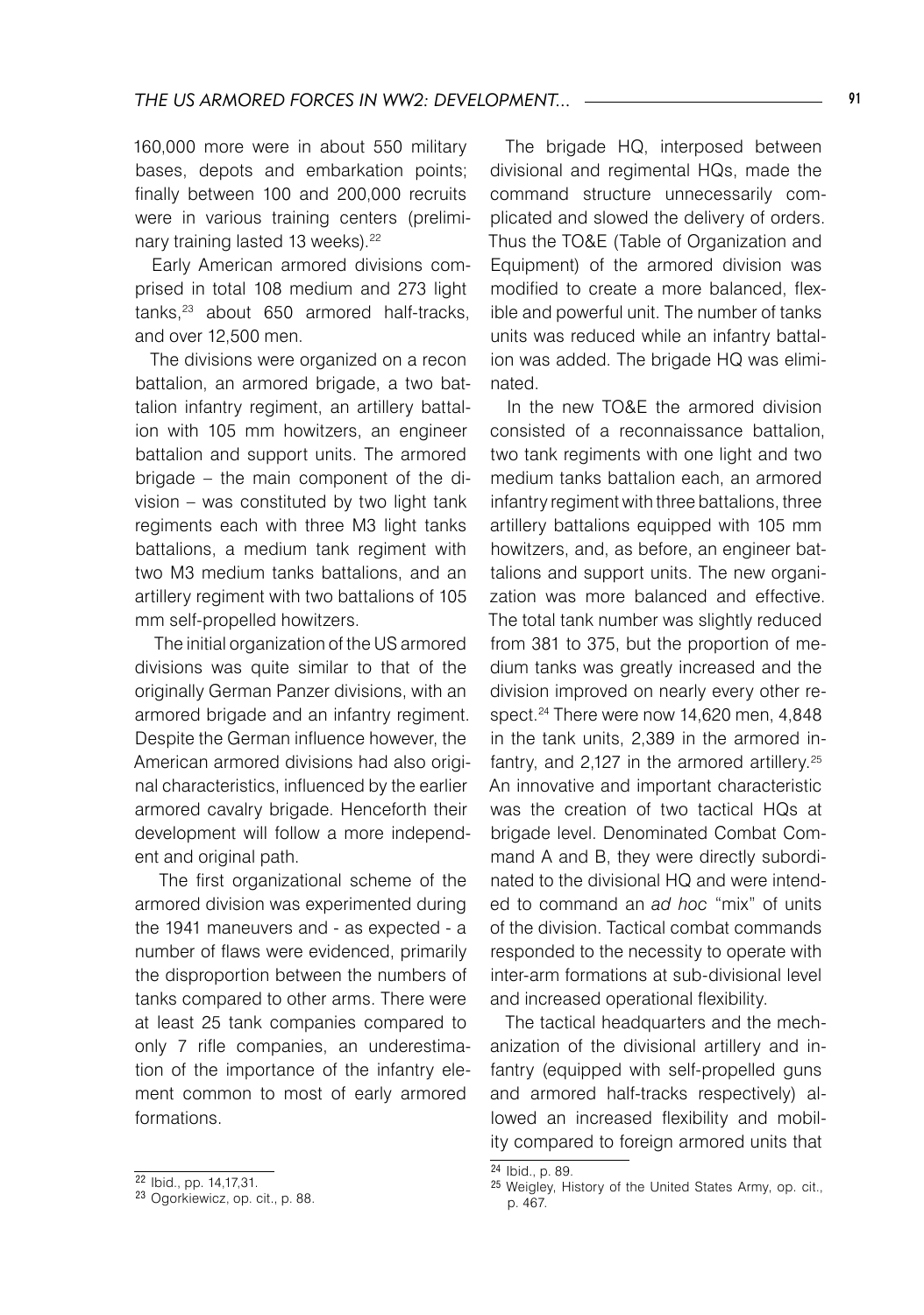160,000 more were in about 550 military bases, depots and embarkation points; finally between 100 and 200,000 recruits were in various training centers (preliminary training lasted 13 weeks).<sup>22</sup>

Early American armored divisions comprised in total 108 medium and 273 light tanks,<sup>23</sup> about 650 armored half-tracks, and over 12,500 men.

The divisions were organized on a recon battalion, an armored brigade, a two battalion infantry regiment, an artillery battalion with 105 mm howitzers, an engineer battalion and support units. The armored brigade – the main component of the division – was constituted by two light tank regiments each with three M3 light tanks battalions, a medium tank regiment with two M3 medium tanks battalions, and an artillery regiment with two battalions of 105 mm self-propelled howitzers.

 The initial organization of the US armored divisions was quite similar to that of the originally German Panzer divisions, with an armored brigade and an infantry regiment. Despite the German influence however, the American armored divisions had also original characteristics, influenced by the earlier armored cavalry brigade. Henceforth their development will follow a more independent and original path.

 The first organizational scheme of the armored division was experimented during the 1941 maneuvers and - as expected - a number of flaws were evidenced, primarily the disproportion between the numbers of tanks compared to other arms. There were at least 25 tank companies compared to only 7 rifle companies, an underestimation of the importance of the infantry element common to most of early armored formations.

The brigade HQ, interposed between divisional and regimental HQs, made the command structure unnecessarily complicated and slowed the delivery of orders. Thus the TO&E (Table of Organization and Equipment) of the armored division was modified to create a more balanced, flexible and powerful unit. The number of tanks units was reduced while an infantry battalion was added. The brigade HQ was eliminated.

In the new TO&E the armored division consisted of a reconnaissance battalion, two tank regiments with one light and two medium tanks battalion each, an armored infantry regiment with three battalions, three artillery battalions equipped with 105 mm howitzers, and, as before, an engineer battalions and support units. The new organization was more balanced and effective. The total tank number was slightly reduced from 381 to 375, but the proportion of medium tanks was greatly increased and the division improved on nearly every other respect.<sup>24</sup> There were now 14,620 men, 4,848 in the tank units, 2,389 in the armored infantry, and 2,127 in the armored artillery.<sup>25</sup> An innovative and important characteristic was the creation of two tactical HQs at brigade level. Denominated Combat Command A and B, they were directly subordinated to the divisional HQ and were intended to command an *ad hoc* "mix" of units of the division. Tactical combat commands responded to the necessity to operate with inter-arm formations at sub-divisional level and increased operational flexibility.

The tactical headquarters and the mechanization of the divisional artillery and infantry (equipped with self-propelled guns and armored half-tracks respectively) allowed an increased flexibility and mobility compared to foreign armored units that

 $\sqrt{22}$  Ibid., pp. 14,17,31.

<sup>23</sup> Ogorkiewicz, op. cit., p. 88.

<sup>24</sup> Ibid., p. 89.

<sup>25</sup> Weigley, History of the United States Army, op. cit., p. 467.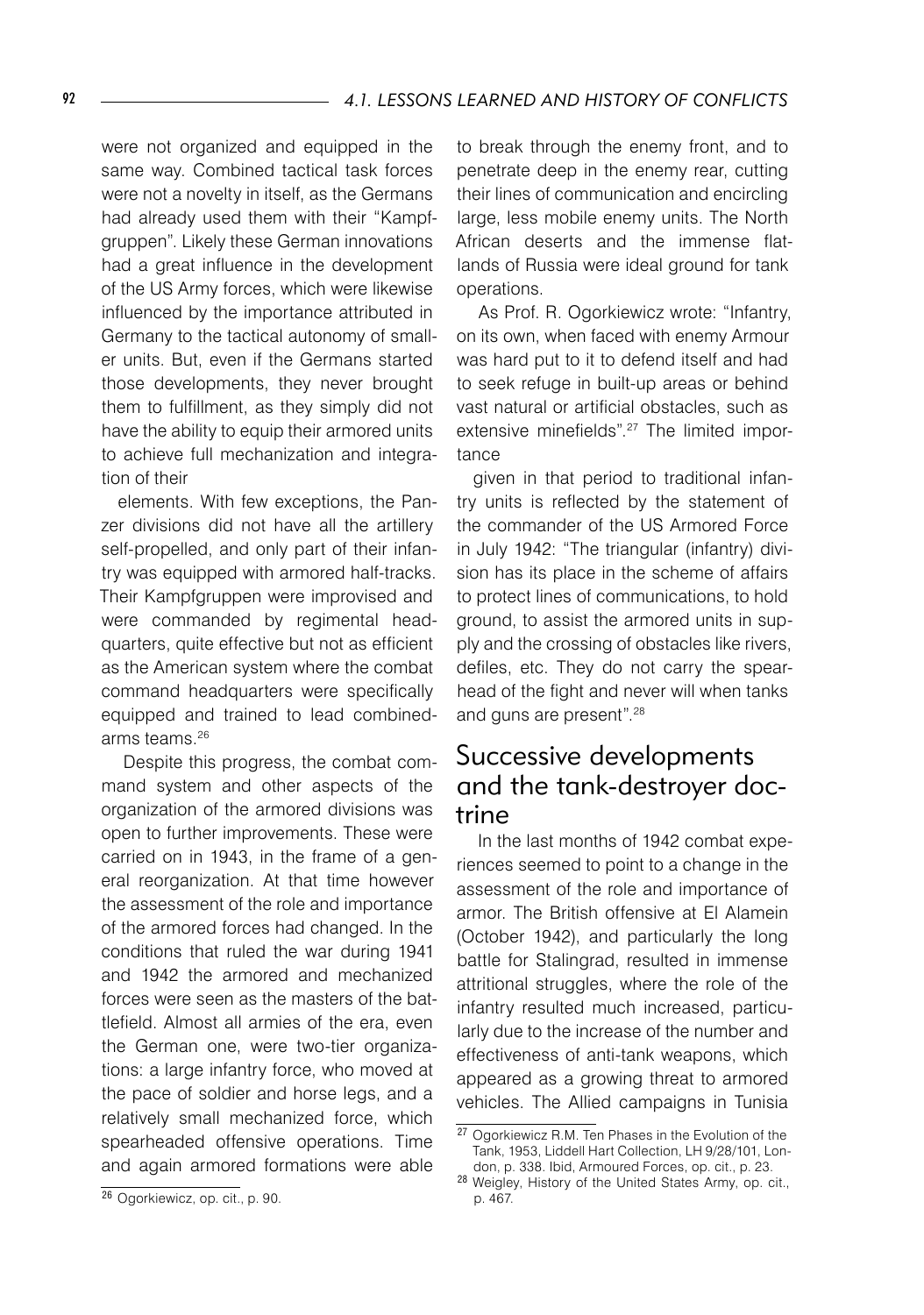were not organized and equipped in the same way. Combined tactical task forces were not a novelty in itself, as the Germans had already used them with their "Kampfgruppen". Likely these German innovations had a great influence in the development of the US Army forces, which were likewise influenced by the importance attributed in Germany to the tactical autonomy of smaller units. But, even if the Germans started those developments, they never brought them to fulfillment, as they simply did not have the ability to equip their armored units to achieve full mechanization and integration of their

elements. With few exceptions, the Panzer divisions did not have all the artillery self-propelled, and only part of their infantry was equipped with armored half-tracks. Their Kampfgruppen were improvised and were commanded by regimental headquarters, quite effective but not as efficient as the American system where the combat command headquarters were specifically equipped and trained to lead combinedarms teams.<sup>26</sup>

 Despite this progress, the combat command system and other aspects of the organization of the armored divisions was open to further improvements. These were carried on in 1943, in the frame of a general reorganization. At that time however the assessment of the role and importance of the armored forces had changed. In the conditions that ruled the war during 1941 and 1942 the armored and mechanized forces were seen as the masters of the battlefield. Almost all armies of the era, even the German one, were two-tier organizations: a large infantry force, who moved at the pace of soldier and horse legs, and a relatively small mechanized force, which spearheaded offensive operations. Time and again armored formations were able

to break through the enemy front, and to penetrate deep in the enemy rear, cutting their lines of communication and encircling large, less mobile enemy units. The North African deserts and the immense flatlands of Russia were ideal ground for tank operations.

 As Prof. R. Ogorkiewicz wrote: "Infantry, on its own, when faced with enemy Armour was hard put to it to defend itself and had to seek refuge in built-up areas or behind vast natural or artificial obstacles, such as extensive minefields".27 The limited importance

given in that period to traditional infantry units is reflected by the statement of the commander of the US Armored Force in July 1942: "The triangular (infantry) division has its place in the scheme of affairs to protect lines of communications, to hold ground, to assist the armored units in supply and the crossing of obstacles like rivers, defiles, etc. They do not carry the spearhead of the fight and never will when tanks and guns are present".28

# Successive developments and the tank-destroyer doctrine

 In the last months of 1942 combat experiences seemed to point to a change in the assessment of the role and importance of armor. The British offensive at El Alamein (October 1942), and particularly the long battle for Stalingrad, resulted in immense attritional struggles, where the role of the infantry resulted much increased, particularly due to the increase of the number and effectiveness of anti-tank weapons, which appeared as a growing threat to armored vehicles. The Allied campaigns in Tunisia

<sup>27</sup> Ogorkiewicz R.M. Ten Phases in the Evolution of the Tank, 1953, Liddell Hart Collection, LH 9/28/101, London, p. 338. Ibid, Armoured Forces, op. cit., p. 23.

<sup>28</sup> Weigley, History of the United States Army, op. cit., p. 467.

<sup>26</sup> Ogorkiewicz, op. cit., p. 90.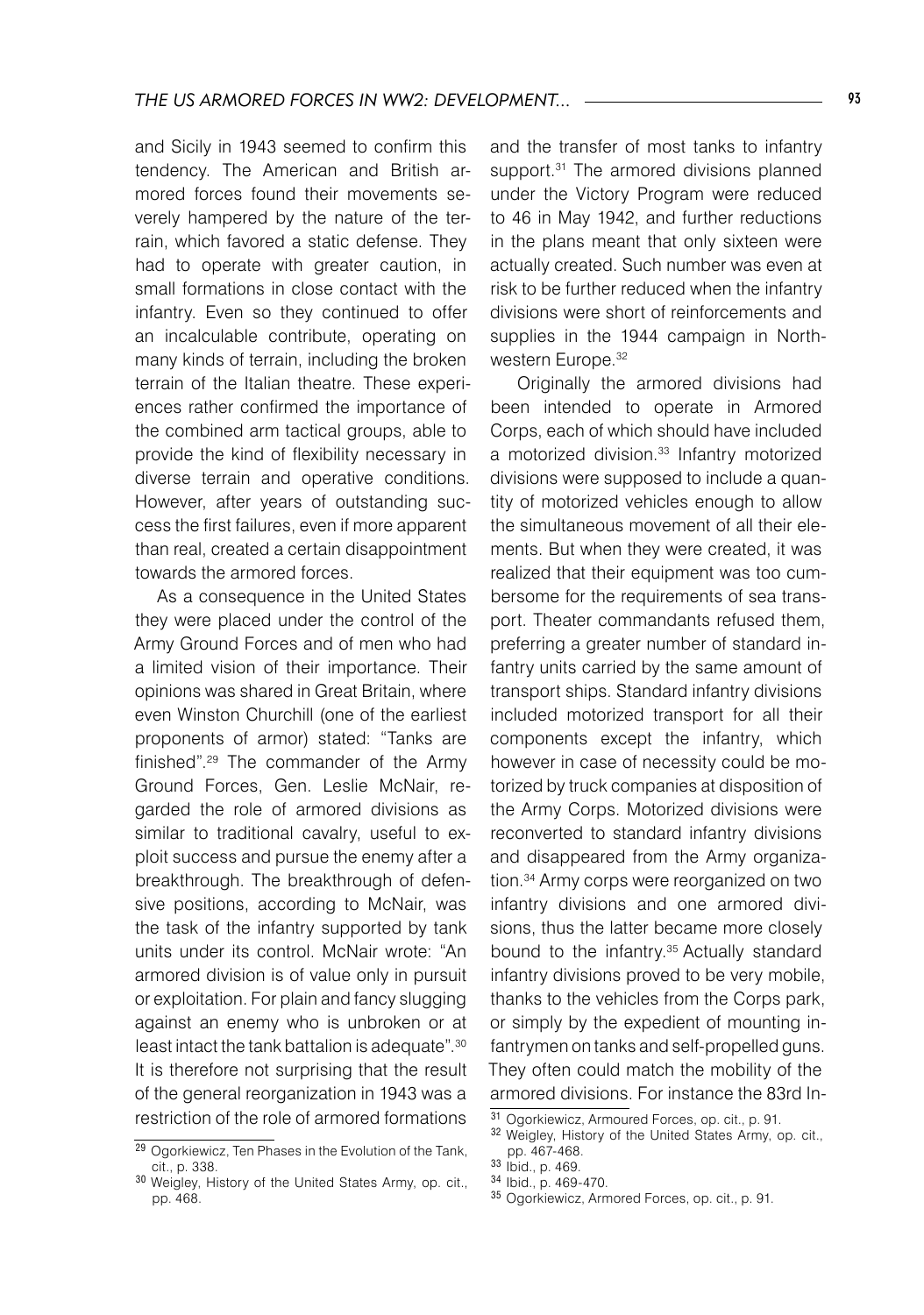and Sicily in 1943 seemed to confirm this tendency. The American and British armored forces found their movements severely hampered by the nature of the terrain, which favored a static defense. They had to operate with greater caution, in small formations in close contact with the infantry. Even so they continued to offer an incalculable contribute, operating on many kinds of terrain, including the broken terrain of the Italian theatre. These experiences rather confirmed the importance of the combined arm tactical groups, able to provide the kind of flexibility necessary in diverse terrain and operative conditions. However, after years of outstanding success the first failures, even if more apparent than real, created a certain disappointment towards the armored forces.

 As a consequence in the United States they were placed under the control of the Army Ground Forces and of men who had a limited vision of their importance. Their opinions was shared in Great Britain, where even Winston Churchill (one of the earliest proponents of armor) stated: "Tanks are finished".29 The commander of the Army Ground Forces, Gen. Leslie McNair, regarded the role of armored divisions as similar to traditional cavalry, useful to exploit success and pursue the enemy after a breakthrough. The breakthrough of defensive positions, according to McNair, was the task of the infantry supported by tank units under its control. McNair wrote: "An armored division is of value only in pursuit or exploitation. For plain and fancy slugging against an enemy who is unbroken or at least intact the tank battalion is adequate".30 It is therefore not surprising that the result of the general reorganization in 1943 was a restriction of the role of armored formations

and the transfer of most tanks to infantry support.<sup>31</sup> The armored divisions planned under the Victory Program were reduced to 46 in May 1942, and further reductions in the plans meant that only sixteen were actually created. Such number was even at risk to be further reduced when the infantry divisions were short of reinforcements and supplies in the 1944 campaign in Northwestern Europe.<sup>32</sup>

 Originally the armored divisions had been intended to operate in Armored Corps, each of which should have included a motorized division.<sup>33</sup> Infantry motorized divisions were supposed to include a quantity of motorized vehicles enough to allow the simultaneous movement of all their elements. But when they were created, it was realized that their equipment was too cumbersome for the requirements of sea transport. Theater commandants refused them, preferring a greater number of standard infantry units carried by the same amount of transport ships. Standard infantry divisions included motorized transport for all their components except the infantry, which however in case of necessity could be motorized by truck companies at disposition of the Army Corps. Motorized divisions were reconverted to standard infantry divisions and disappeared from the Army organization.34 Army corps were reorganized on two infantry divisions and one armored divisions, thus the latter became more closely bound to the infantry.<sup>35</sup> Actually standard infantry divisions proved to be very mobile, thanks to the vehicles from the Corps park, or simply by the expedient of mounting infantrymen on tanks and self-propelled guns. They often could match the mobility of the armored divisions. For instance the 83rd In-

<sup>&</sup>lt;sup>29</sup> Ogorkiewicz, Ten Phases in the Evolution of the Tank, cit., p. 338.

<sup>30</sup> Weigley, History of the United States Army, op. cit., pp. 468.

<sup>31</sup> Ogorkiewicz, Armoured Forces, op. cit., p. 91.

<sup>32</sup> Weigley, History of the United States Army, op. cit., pp. 467-468.

<sup>33</sup> Ibid., p. 469.

<sup>34</sup> Ibid., p. 469-470.

<sup>35</sup> Ogorkiewicz, Armored Forces, op. cit., p. 91.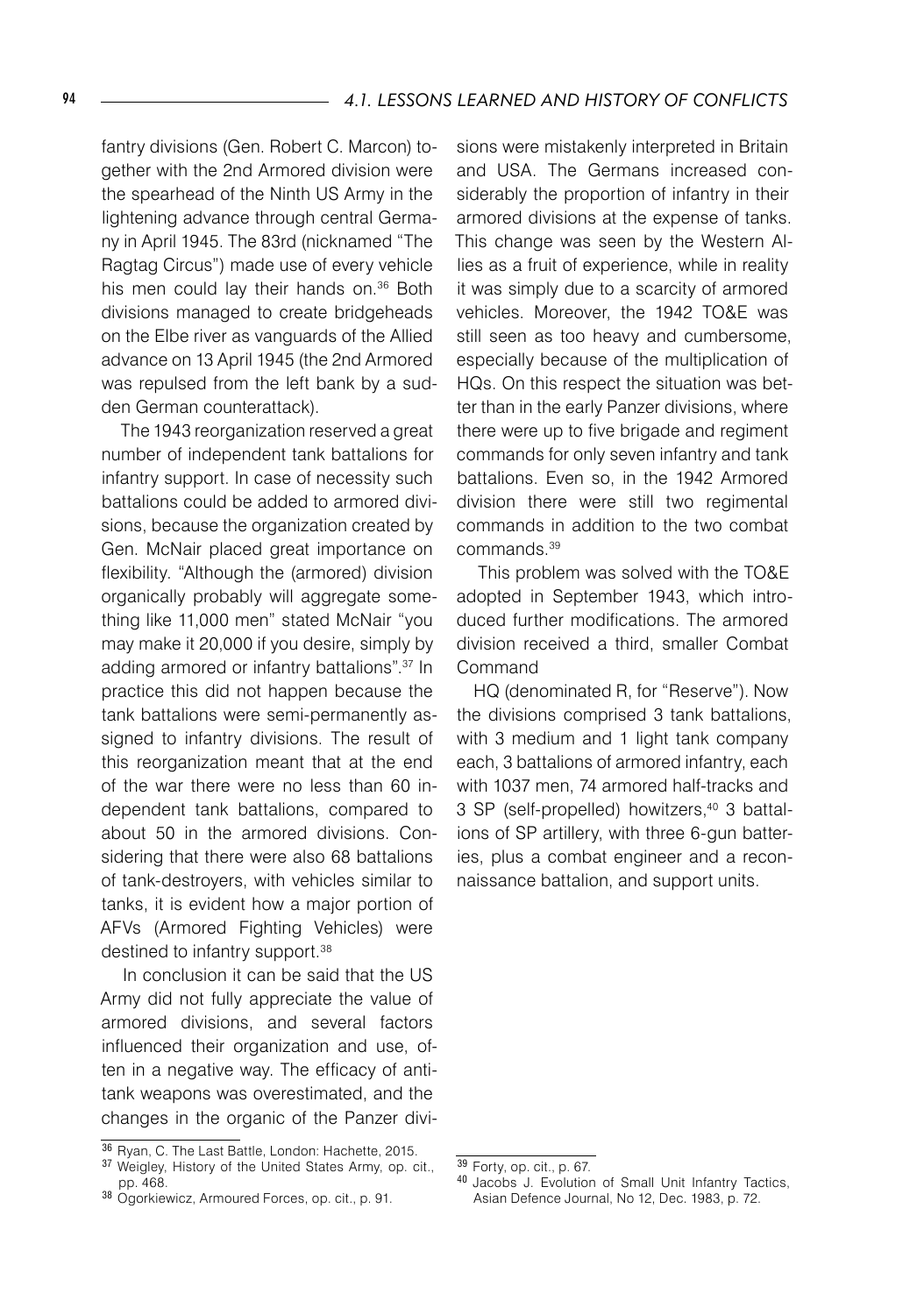fantry divisions (Gen. Robert C. Marcon) together with the 2nd Armored division were the spearhead of the Ninth US Army in the lightening advance through central Germany in April 1945. The 83rd (nicknamed "The Ragtag Circus") made use of every vehicle his men could lay their hands on.<sup>36</sup> Both divisions managed to create bridgeheads on the Elbe river as vanguards of the Allied advance on 13 April 1945 (the 2nd Armored was repulsed from the left bank by a sudden German counterattack).

 The 1943 reorganization reserved a great number of independent tank battalions for infantry support. In case of necessity such battalions could be added to armored divisions, because the organization created by Gen. McNair placed great importance on flexibility. "Although the (armored) division organically probably will aggregate something like 11,000 men" stated McNair "you may make it 20,000 if you desire, simply by adding armored or infantry battalions".<sup>37</sup> In practice this did not happen because the tank battalions were semi-permanently assigned to infantry divisions. The result of this reorganization meant that at the end of the war there were no less than 60 independent tank battalions, compared to about 50 in the armored divisions. Considering that there were also 68 battalions of tank-destroyers, with vehicles similar to tanks, it is evident how a major portion of AFVs (Armored Fighting Vehicles) were destined to infantry support.<sup>38</sup>

 In conclusion it can be said that the US Army did not fully appreciate the value of armored divisions, and several factors influenced their organization and use, often in a negative way. The efficacy of antitank weapons was overestimated, and the changes in the organic of the Panzer divi-

sions were mistakenly interpreted in Britain and USA. The Germans increased considerably the proportion of infantry in their armored divisions at the expense of tanks. This change was seen by the Western Allies as a fruit of experience, while in reality it was simply due to a scarcity of armored vehicles. Moreover, the 1942 TO&E was still seen as too heavy and cumbersome, especially because of the multiplication of HQs. On this respect the situation was better than in the early Panzer divisions, where there were up to five brigade and regiment commands for only seven infantry and tank battalions. Even so, in the 1942 Armored division there were still two regimental commands in addition to the two combat commands.39

 This problem was solved with the TO&E adopted in September 1943, which introduced further modifications. The armored division received a third, smaller Combat Command

HQ (denominated R, for "Reserve"). Now the divisions comprised 3 tank battalions, with 3 medium and 1 light tank company each, 3 battalions of armored infantry, each with 1037 men, 74 armored half-tracks and 3 SP (self-propelled) howitzers,<sup>40</sup> 3 battalions of SP artillery, with three 6-gun batteries, plus a combat engineer and a reconnaissance battalion, and support units.

<sup>36</sup> Ryan, C. The Last Battle, London: Hachette, 2015.

<sup>37</sup> Weigley, History of the United States Army, op. cit., pp. 468.

<sup>38</sup> Ogorkiewicz, Armoured Forces, op. cit., p. 91.

<sup>39</sup> Forty, op. cit., p. 67.

<sup>40</sup> Jacobs J. Evolution of Small Unit Infantry Tactics, Asian Defence Journal, No 12, Dec. 1983, p. 72.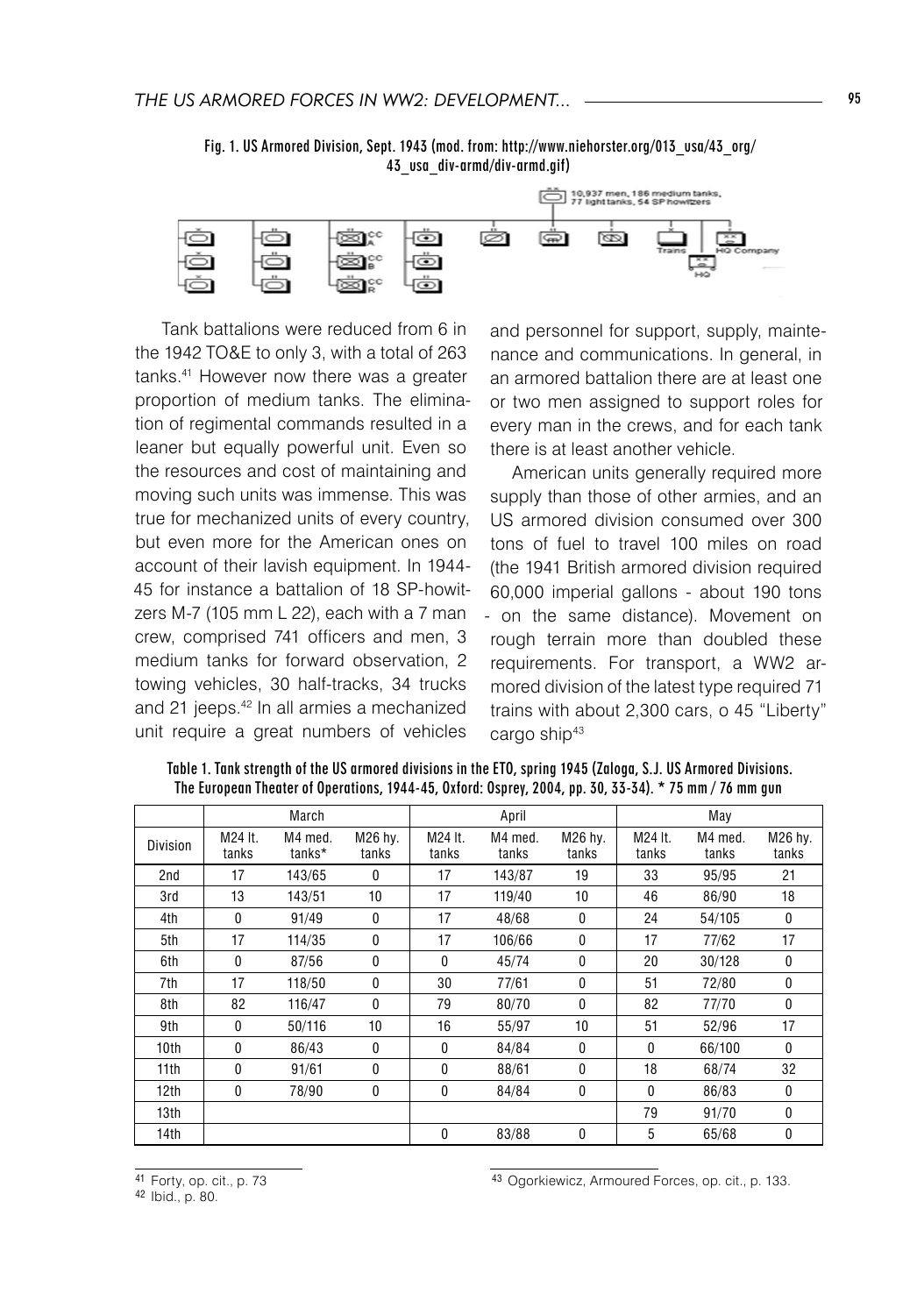

 Fig. 1. US Armored Division, Sept. 1943 (mod. from: http://www.niehorster.org/013\_usa/43\_org/ 43\_usa\_div-armd/div-armd.gif)

 Tank battalions were reduced from 6 in the 1942 TO&E to only 3, with a total of 263 tanks.41 However now there was a greater proportion of medium tanks. The elimination of regimental commands resulted in a leaner but equally powerful unit. Even so the resources and cost of maintaining and moving such units was immense. This was true for mechanized units of every country, but even more for the American ones on account of their lavish equipment. In 1944- 45 for instance a battalion of 18 SP-howitzers M-7 (105 mm L 22), each with a 7 man crew, comprised 741 officers and men, 3 medium tanks for forward observation, 2 towing vehicles, 30 half-tracks, 34 trucks and 21 jeeps.<sup>42</sup> In all armies a mechanized unit require a great numbers of vehicles

and personnel for support, supply, maintenance and communications. In general, in an armored battalion there are at least one or two men assigned to support roles for every man in the crews, and for each tank there is at least another vehicle.

 American units generally required more supply than those of other armies, and an US armored division consumed over 300 tons of fuel to travel 100 miles on road (the 1941 British armored division required 60,000 imperial gallons - about 190 tons - on the same distance). Movement on rough terrain more than doubled these requirements. For transport, a WW2 armored division of the latest type required 71 trains with about 2,300 cars, o 45 "Liberty" cargo ship<sup>43</sup>

|                  |                  | March             |                  |                  | April            |                  |                  | May              |                  |
|------------------|------------------|-------------------|------------------|------------------|------------------|------------------|------------------|------------------|------------------|
| Division         | M24 It.<br>tanks | M4 med.<br>tanks* | M26 hy.<br>tanks | M24 It.<br>tanks | M4 med.<br>tanks | M26 hy.<br>tanks | M24 It.<br>tanks | M4 med.<br>tanks | M26 hy.<br>tanks |
| 2nd              | 17               | 143/65            | $\mathbf{0}$     | 17               | 143/87           | 19               | 33               | 95/95            | 21               |
| 3rd              | 13               | 143/51            | 10               | 17               | 119/40           | 10               | 46               | 86/90            | 18               |
| 4th              | 0                | 91/49             | 0                | 17               | 48/68            | 0                | 24               | 54/105           | 0                |
| 5th              | 17               | 114/35            | 0                | 17               | 106/66           | 0                | 17               | 77/62            | 17               |
| 6th              | $\theta$         | 87/56             | 0                | $\mathbf{0}$     | 45/74            | 0                | 20               | 30/128           | 0                |
| 7th              | 17               | 118/50            | 0                | 30               | 77/61            | 0                | 51               | 72/80            | 0                |
| 8th              | 82               | 116/47            | $\theta$         | 79               | 80/70            | 0                | 82               | 77/70            | 0                |
| 9th              | 0                | 50/116            | 10               | 16               | 55/97            | 10               | 51               | 52/96            | 17               |
| 10th             | $\theta$         | 86/43             | $\mathbf{0}$     | $\mathbf{0}$     | 84/84            | $\mathbf{0}$     | 0                | 66/100           | $\Omega$         |
| 11th             | $\theta$         | 91/61             | $\mathbf{0}$     | $\mathbf{0}$     | 88/61            | 0                | 18               | 68/74            | 32               |
| 12 <sub>th</sub> | 0                | 78/90             | 0                | 0                | 84/84            | 0                | 0                | 86/83            | 0                |
| 13 <sub>th</sub> |                  |                   |                  |                  |                  |                  | 79               | 91/70            | 0                |
| 14 <sub>th</sub> |                  |                   |                  | 0                | 83/88            | 0                | 5                | 65/68            | 0                |

Table 1. Tank strength of the US armored divisions in the ETO, spring 1945 (Zaloga, S.J. US Armored Divisions. The European Theater of Operations, 1944-45, Oxford: Osprey, 2004, pp. 30, 33-34). \* 75 mm / 76 mm gun

<sup>43</sup> Ogorkiewicz, Armoured Forces, op. cit., p. 133.

<sup>41</sup> Forty, op. cit., p. 73

<sup>42</sup> Ibid., p. 80.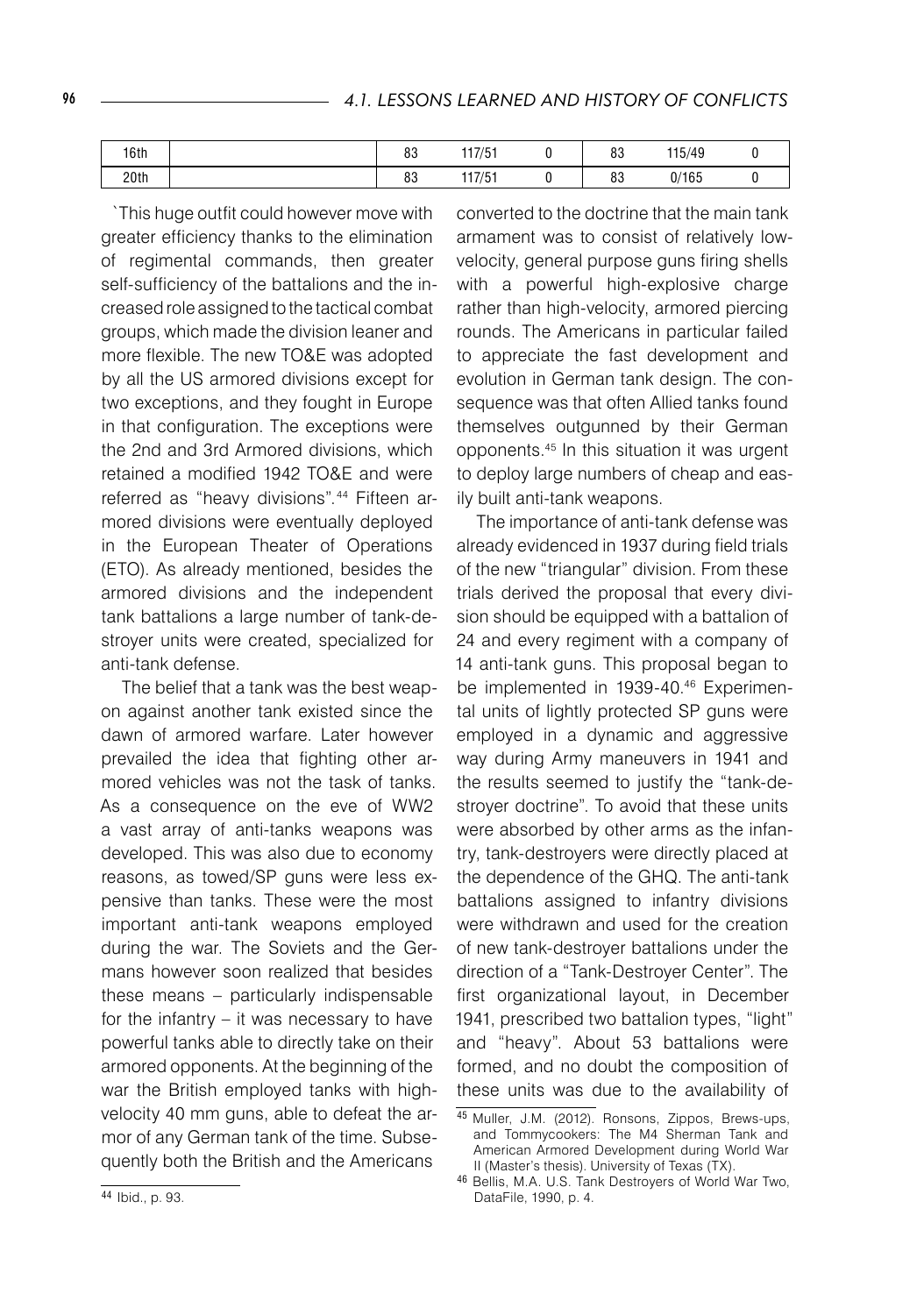| 16th | nn<br>ου  | $1 + 7 + 1$ | 0 <sub>0</sub><br><b>ÖJ</b> | 115/49        |  |
|------|-----------|-------------|-----------------------------|---------------|--|
| 20th | n o<br>οJ | $1 - 1 - 1$ | 0 <sub>0</sub><br><b>ÖJ</b> | 0.110E<br>165 |  |

`This huge outfit could however move with greater efficiency thanks to the elimination of regimental commands, then greater self-sufficiency of the battalions and the increased role assigned to the tactical combat groups, which made the division leaner and more flexible. The new TO&E was adopted by all the US armored divisions except for two exceptions, and they fought in Europe in that configuration. The exceptions were the 2nd and 3rd Armored divisions, which retained a modified 1942 TO&E and were referred as "heavy divisions".<sup>44</sup> Fifteen armored divisions were eventually deployed in the European Theater of Operations (ETO). As already mentioned, besides the armored divisions and the independent tank battalions a large number of tank-destroyer units were created, specialized for anti-tank defense.

 The belief that a tank was the best weapon against another tank existed since the dawn of armored warfare. Later however prevailed the idea that fighting other armored vehicles was not the task of tanks. As a consequence on the eve of WW2 a vast array of anti-tanks weapons was developed. This was also due to economy reasons, as towed/SP guns were less expensive than tanks. These were the most important anti-tank weapons employed during the war. The Soviets and the Germans however soon realized that besides these means – particularly indispensable for the infantry – it was necessary to have powerful tanks able to directly take on their armored opponents. At the beginning of the war the British employed tanks with highvelocity 40 mm guns, able to defeat the armor of any German tank of the time. Subsequently both the British and the Americans

converted to the doctrine that the main tank armament was to consist of relatively lowvelocity, general purpose guns firing shells with a powerful high-explosive charge rather than high-velocity, armored piercing rounds. The Americans in particular failed to appreciate the fast development and evolution in German tank design. The consequence was that often Allied tanks found themselves outgunned by their German opponents.45 In this situation it was urgent to deploy large numbers of cheap and easily built anti-tank weapons.

 The importance of anti-tank defense was already evidenced in 1937 during field trials of the new "triangular" division. From these trials derived the proposal that every division should be equipped with a battalion of 24 and every regiment with a company of 14 anti-tank guns. This proposal began to be implemented in 1939-40.46 Experimental units of lightly protected SP guns were employed in a dynamic and aggressive way during Army maneuvers in 1941 and the results seemed to justify the "tank-destroyer doctrine". To avoid that these units were absorbed by other arms as the infantry, tank-destroyers were directly placed at the dependence of the GHQ. The anti-tank battalions assigned to infantry divisions were withdrawn and used for the creation of new tank-destroyer battalions under the direction of a "Tank-Destroyer Center". The first organizational layout, in December 1941, prescribed two battalion types, "light" and "heavy". About 53 battalions were formed, and no doubt the composition of these units was due to the availability of

<sup>45</sup> Muller, J.M. (2012). Ronsons, Zippos, Brews-ups, and Tommycookers: The M4 Sherman Tank and American Armored Development during World War II (Master's thesis). University of Texas (TX).

<sup>46</sup> Bellis, M.A. U.S. Tank Destroyers of World War Two, DataFile, 1990, p. 4.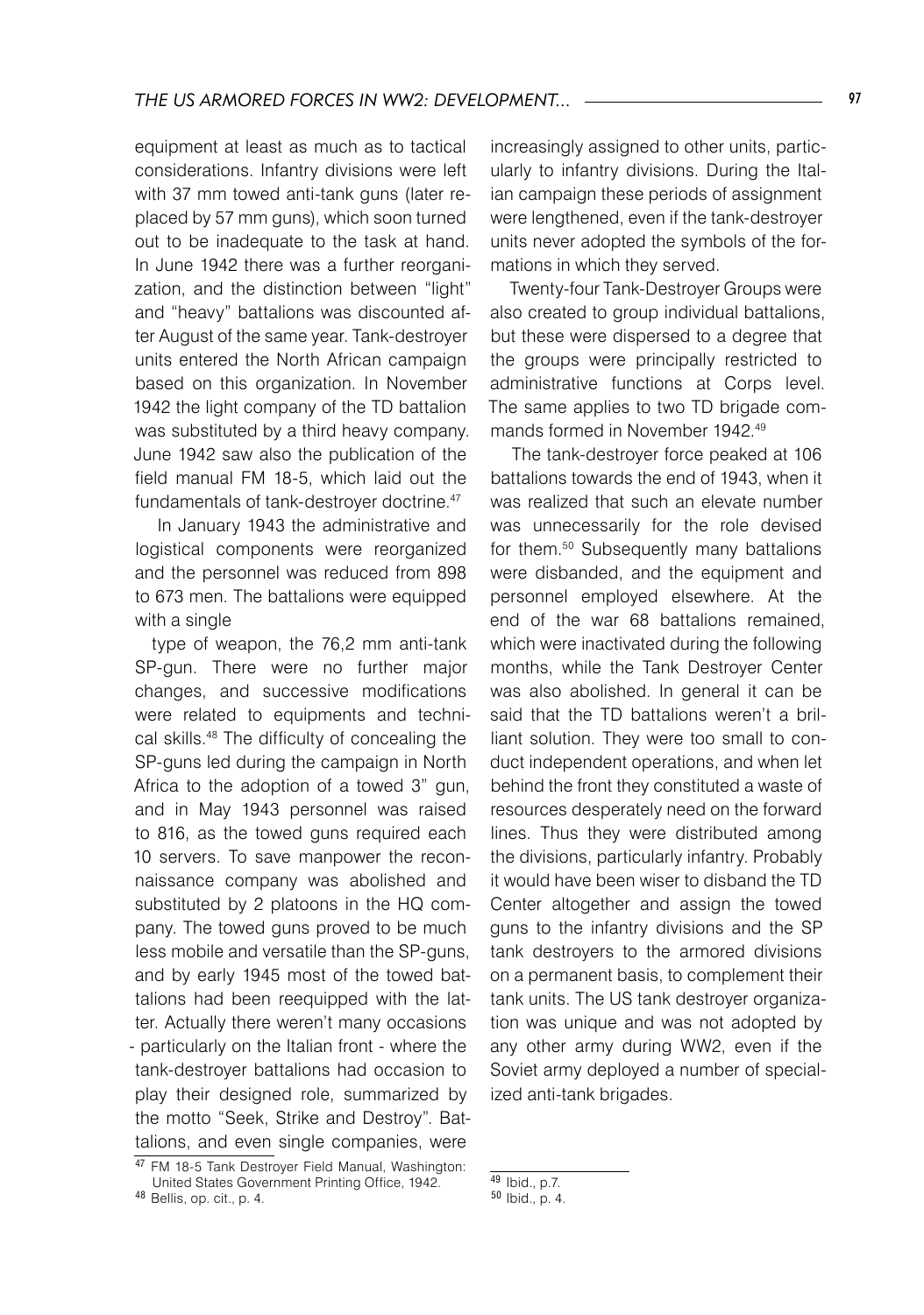equipment at least as much as to tactical considerations. Infantry divisions were left with 37 mm towed anti-tank guns (later replaced by 57 mm guns), which soon turned out to be inadequate to the task at hand. In June 1942 there was a further reorganization, and the distinction between "light" and "heavy" battalions was discounted after August of the same year. Tank-destroyer units entered the North African campaign based on this organization. In November 1942 the light company of the TD battalion was substituted by a third heavy company. June 1942 saw also the publication of the field manual FM 18-5, which laid out the fundamentals of tank-destroyer doctrine.<sup>47</sup>

 In January 1943 the administrative and logistical components were reorganized and the personnel was reduced from 898 to 673 men. The battalions were equipped with a single

type of weapon, the 76,2 mm anti-tank SP-gun. There were no further major changes, and successive modifications were related to equipments and technical skills.48 The difficulty of concealing the SP-guns led during the campaign in North Africa to the adoption of a towed 3" gun, and in May 1943 personnel was raised to 816, as the towed guns required each 10 servers. To save manpower the reconnaissance company was abolished and substituted by 2 platoons in the HQ company. The towed guns proved to be much less mobile and versatile than the SP-guns, and by early 1945 most of the towed battalions had been reequipped with the latter. Actually there weren't many occasions - particularly on the Italian front - where the tank-destroyer battalions had occasion to play their designed role, summarized by the motto "Seek, Strike and Destroy". Battalions, and even single companies, were

increasingly assigned to other units, particularly to infantry divisions. During the Italian campaign these periods of assignment were lengthened, even if the tank-destroyer units never adopted the symbols of the formations in which they served.

 Twenty-four Tank-Destroyer Groups were also created to group individual battalions, but these were dispersed to a degree that the groups were principally restricted to administrative functions at Corps level. The same applies to two TD brigade commands formed in November 1942.49

 The tank-destroyer force peaked at 106 battalions towards the end of 1943, when it was realized that such an elevate number was unnecessarily for the role devised for them.50 Subsequently many battalions were disbanded, and the equipment and personnel employed elsewhere. At the end of the war 68 battalions remained, which were inactivated during the following months, while the Tank Destroyer Center was also abolished. In general it can be said that the TD battalions weren't a brilliant solution. They were too small to conduct independent operations, and when let behind the front they constituted a waste of resources desperately need on the forward lines. Thus they were distributed among the divisions, particularly infantry. Probably it would have been wiser to disband the TD Center altogether and assign the towed guns to the infantry divisions and the SP tank destroyers to the armored divisions on a permanent basis, to complement their tank units. The US tank destroyer organization was unique and was not adopted by any other army during WW2, even if the Soviet army deployed a number of specialized anti-tank brigades.

<sup>47</sup> FM 18-5 Tank Destroyer Field Manual, Washington: United States Government Printing Office, 1942.

<sup>48</sup> Bellis, op. cit., p. 4.

 $49$  Ibid., p.7.

<sup>50</sup> Ibid., p. 4.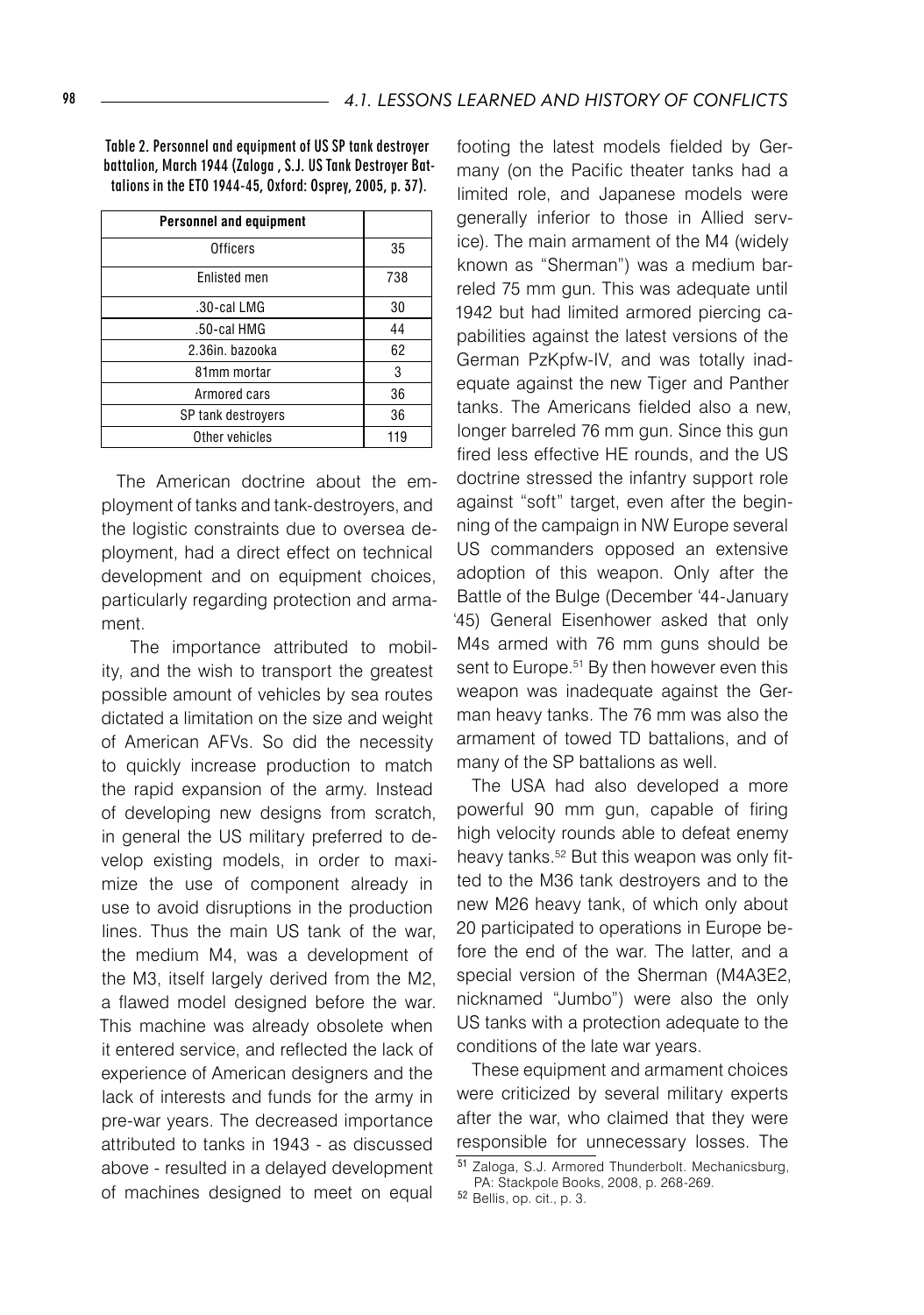Table 2. Personnel and equipment of US SP tank destroyer battalion, March 1944 (Zaloga , S.J. US Tank Destroyer Battalions in the ETO 1944-45, Oxford: Osprey, 2005, p. 37).

| <b>Personnel and equipment</b> |     |
|--------------------------------|-----|
| <b>Officers</b>                | 35  |
| Enlisted men                   | 738 |
| .30-cal LMG                    | 30  |
| .50-cal HMG                    | 44  |
| 2.36in. bazooka                | 62  |
| 81mm mortar                    | 3   |
| Armored cars                   | 36  |
| SP tank destroyers             | 36  |
| Other vehicles                 | 119 |

The American doctrine about the employment of tanks and tank-destroyers, and the logistic constraints due to oversea deployment, had a direct effect on technical development and on equipment choices, particularly regarding protection and armament.

 The importance attributed to mobility, and the wish to transport the greatest possible amount of vehicles by sea routes dictated a limitation on the size and weight of American AFVs. So did the necessity to quickly increase production to match the rapid expansion of the army. Instead of developing new designs from scratch, in general the US military preferred to develop existing models, in order to maximize the use of component already in use to avoid disruptions in the production lines. Thus the main US tank of the war, the medium M4, was a development of the M3, itself largely derived from the M2, a flawed model designed before the war. This machine was already obsolete when it entered service, and reflected the lack of experience of American designers and the lack of interests and funds for the army in pre-war years. The decreased importance attributed to tanks in 1943 - as discussed above - resulted in a delayed development of machines designed to meet on equal

footing the latest models fielded by Germany (on the Pacific theater tanks had a limited role, and Japanese models were generally inferior to those in Allied service). The main armament of the M4 (widely known as "Sherman") was a medium barreled 75 mm gun. This was adequate until 1942 but had limited armored piercing capabilities against the latest versions of the German PzKpfw-IV, and was totally inadequate against the new Tiger and Panther tanks. The Americans fielded also a new, longer barreled 76 mm gun. Since this gun fired less effective HE rounds, and the US doctrine stressed the infantry support role against "soft" target, even after the beginning of the campaign in NW Europe several US commanders opposed an extensive adoption of this weapon. Only after the Battle of the Bulge (December '44-January '45) General Eisenhower asked that only M4s armed with 76 mm guns should be sent to Europe.<sup>51</sup> By then however even this weapon was inadequate against the German heavy tanks. The 76 mm was also the armament of towed TD battalions, and of many of the SP battalions as well.

The USA had also developed a more powerful 90 mm gun, capable of firing high velocity rounds able to defeat enemy heavy tanks.<sup>52</sup> But this weapon was only fitted to the M36 tank destroyers and to the new M26 heavy tank, of which only about 20 participated to operations in Europe before the end of the war. The latter, and a special version of the Sherman (M4A3E2, nicknamed "Jumbo") were also the only US tanks with a protection adequate to the conditions of the late war years.

These equipment and armament choices were criticized by several military experts after the war, who claimed that they were responsible for unnecessary losses. The

<sup>51</sup> Zaloga, S.J. Armored Thunderbolt. Mechanicsburg, PA: Stackpole Books, 2008, p. 268-269.

<sup>52</sup> Bellis, op. cit., p. 3.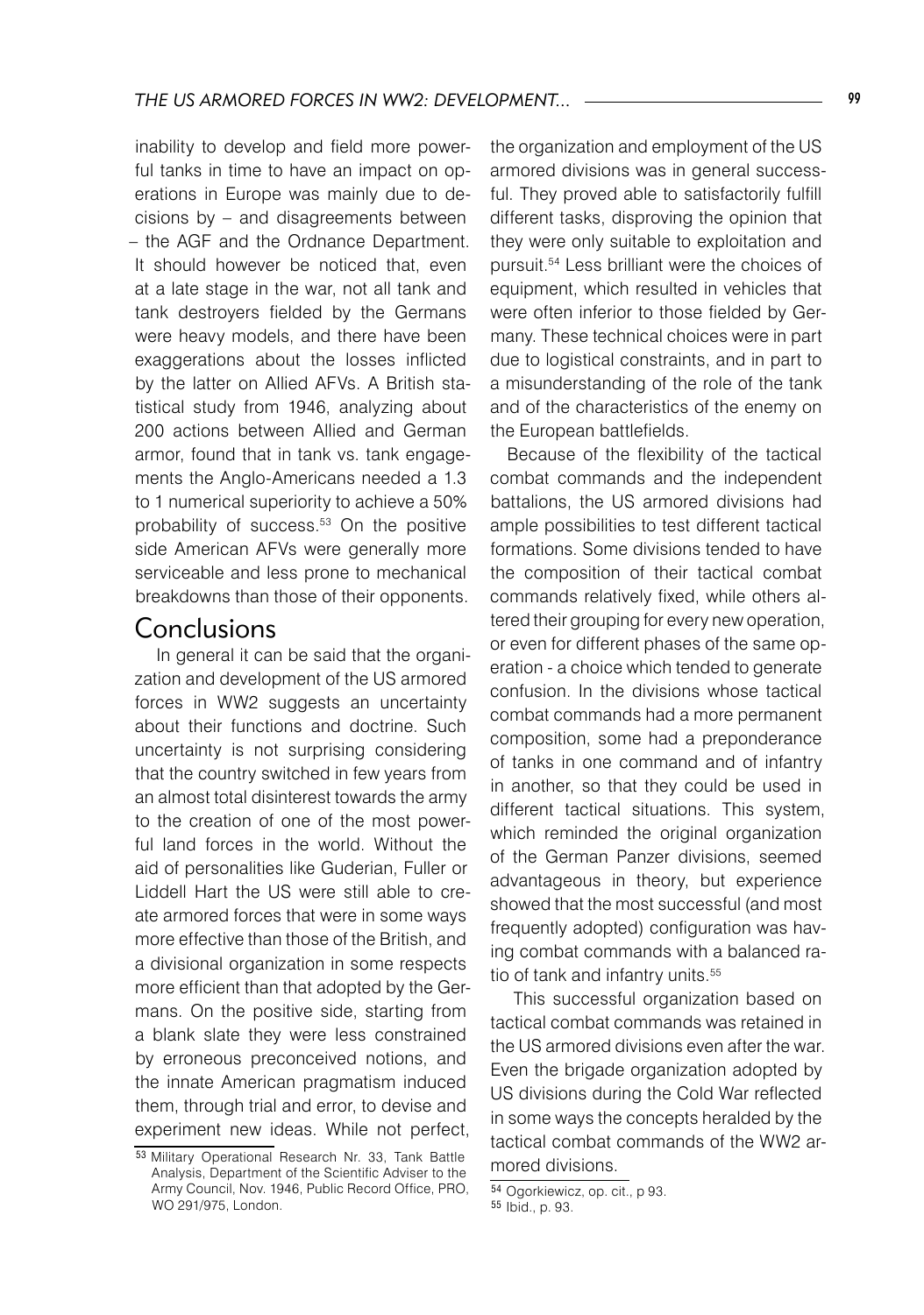inability to develop and field more powerful tanks in time to have an impact on operations in Europe was mainly due to decisions by – and disagreements between – the AGF and the Ordnance Department. It should however be noticed that, even at a late stage in the war, not all tank and tank destroyers fielded by the Germans were heavy models, and there have been exaggerations about the losses inflicted by the latter on Allied AFVs. A British statistical study from 1946, analyzing about 200 actions between Allied and German armor, found that in tank vs. tank engagements the Anglo-Americans needed a 1.3 to 1 numerical superiority to achieve a 50% probability of success.<sup>53</sup> On the positive side American AFVs were generally more serviceable and less prone to mechanical breakdowns than those of their opponents.

#### **Conclusions**

 In general it can be said that the organization and development of the US armored forces in WW2 suggests an uncertainty about their functions and doctrine. Such uncertainty is not surprising considering that the country switched in few years from an almost total disinterest towards the army to the creation of one of the most powerful land forces in the world. Without the aid of personalities like Guderian, Fuller or Liddell Hart the US were still able to create armored forces that were in some ways more effective than those of the British, and a divisional organization in some respects more efficient than that adopted by the Germans. On the positive side, starting from a blank slate they were less constrained by erroneous preconceived notions, and the innate American pragmatism induced them, through trial and error, to devise and experiment new ideas. While not perfect,

the organization and employment of the US armored divisions was in general successful. They proved able to satisfactorily fulfill different tasks, disproving the opinion that they were only suitable to exploitation and pursuit.54 Less brilliant were the choices of equipment, which resulted in vehicles that were often inferior to those fielded by Germany. These technical choices were in part due to logistical constraints, and in part to a misunderstanding of the role of the tank and of the characteristics of the enemy on the European battlefields.

Because of the flexibility of the tactical combat commands and the independent battalions, the US armored divisions had ample possibilities to test different tactical formations. Some divisions tended to have the composition of their tactical combat commands relatively fixed, while others altered their grouping for every new operation, or even for different phases of the same operation - a choice which tended to generate confusion. In the divisions whose tactical combat commands had a more permanent composition, some had a preponderance of tanks in one command and of infantry in another, so that they could be used in different tactical situations. This system, which reminded the original organization of the German Panzer divisions, seemed advantageous in theory, but experience showed that the most successful (and most frequently adopted) configuration was having combat commands with a balanced ratio of tank and infantry units.<sup>55</sup>

 This successful organization based on tactical combat commands was retained in the US armored divisions even after the war. Even the brigade organization adopted by US divisions during the Cold War reflected in some ways the concepts heralded by the tactical combat commands of the WW2 armored divisions.

<sup>53</sup> Military Operational Research Nr. 33, Tank Battle Analysis, Department of the Scientific Adviser to the Army Council, Nov. 1946, Public Record Office, PRO, WO 291/975, London.

<sup>54</sup> Ogorkiewicz, op. cit., p 93. <sup>55</sup> Ibid., p. 93.